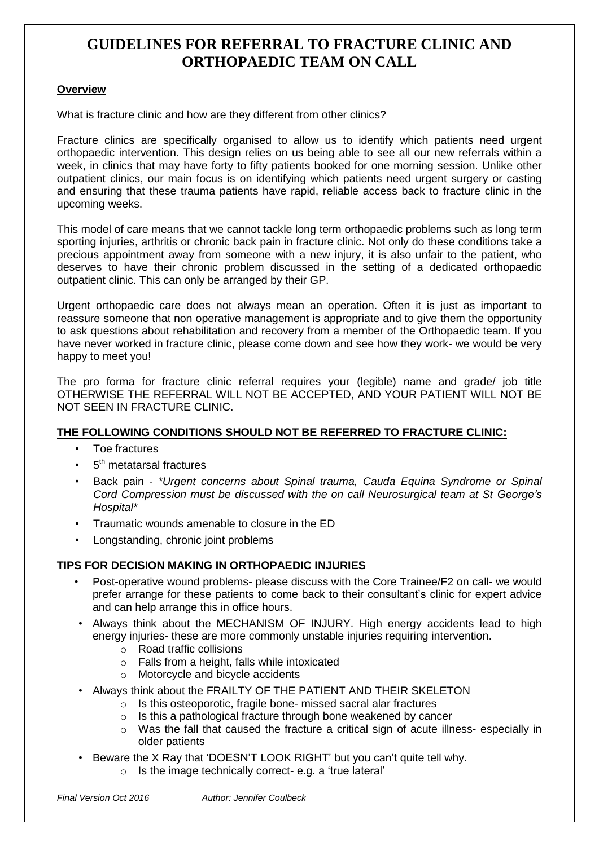# **Overview**

What is fracture clinic and how are they different from other clinics?

Fracture clinics are specifically organised to allow us to identify which patients need urgent orthopaedic intervention. This design relies on us being able to see all our new referrals within a week, in clinics that may have forty to fifty patients booked for one morning session. Unlike other outpatient clinics, our main focus is on identifying which patients need urgent surgery or casting and ensuring that these trauma patients have rapid, reliable access back to fracture clinic in the upcoming weeks.

This model of care means that we cannot tackle long term orthopaedic problems such as long term sporting injuries, arthritis or chronic back pain in fracture clinic. Not only do these conditions take a precious appointment away from someone with a new injury, it is also unfair to the patient, who deserves to have their chronic problem discussed in the setting of a dedicated orthopaedic outpatient clinic. This can only be arranged by their GP.

Urgent orthopaedic care does not always mean an operation. Often it is just as important to reassure someone that non operative management is appropriate and to give them the opportunity to ask questions about rehabilitation and recovery from a member of the Orthopaedic team. If you have never worked in fracture clinic, please come down and see how they work- we would be very happy to meet you!

The pro forma for fracture clinic referral requires your (legible) name and grade/ job title OTHERWISE THE REFERRAL WILL NOT BE ACCEPTED, AND YOUR PATIENT WILL NOT BE NOT SEEN IN FRACTURE CLINIC.

# **THE FOLLOWING CONDITIONS SHOULD NOT BE REFERRED TO FRACTURE CLINIC:**

- Toe fractures
- $\cdot$  5<sup>th</sup> metatarsal fractures
- Back pain *\*Urgent concerns about Spinal trauma, Cauda Equina Syndrome or Spinal Cord Compression must be discussed with the on call Neurosurgical team at St George's Hospital\**
- Traumatic wounds amenable to closure in the ED
- Longstanding, chronic joint problems

# **TIPS FOR DECISION MAKING IN ORTHOPAEDIC INJURIES**

- Post-operative wound problems- please discuss with the Core Trainee/F2 on call- we would prefer arrange for these patients to come back to their consultant's clinic for expert advice and can help arrange this in office hours.
- Always think about the MECHANISM OF INJURY. High energy accidents lead to high energy injuries- these are more commonly unstable injuries requiring intervention.
	- o Road traffic collisions
	- o Falls from a height, falls while intoxicated
	- o Motorcycle and bicycle accidents
- Always think about the FRAILTY OF THE PATIENT AND THEIR SKELETON
	- o Is this osteoporotic, fragile bone- missed sacral alar fractures
	- o Is this a pathological fracture through bone weakened by cancer
	- o Was the fall that caused the fracture a critical sign of acute illness- especially in older patients
- Beware the X Ray that 'DOESN'T LOOK RIGHT' but you can't quite tell why.
	- o Is the image technically correct- e.g. a 'true lateral'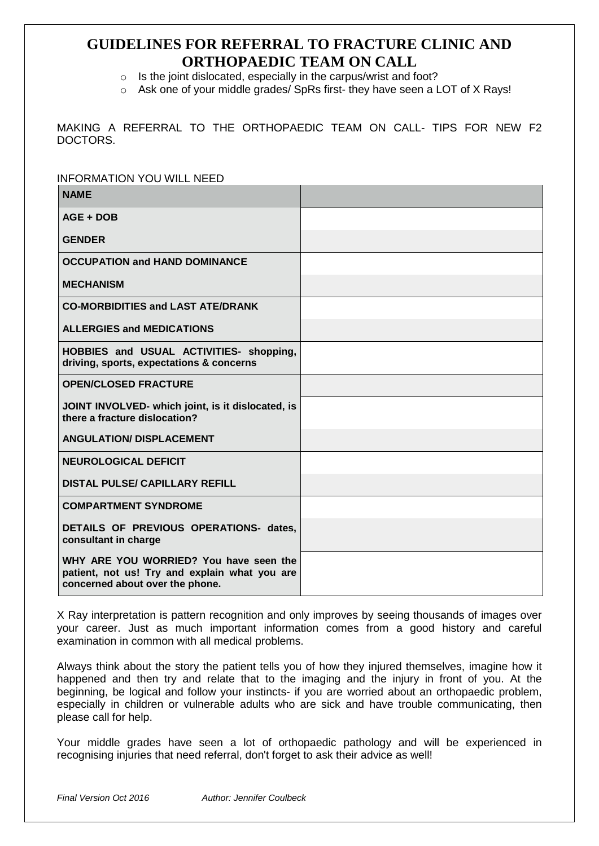- o Is the joint dislocated, especially in the carpus/wrist and foot?
- $\circ$  Ask one of your middle grades/ SpRs first- they have seen a LOT of X Rays!

MAKING A REFERRAL TO THE ORTHOPAEDIC TEAM ON CALL- TIPS FOR NEW F2 DOCTORS.

| <b>INFORMATION YOU WILL NEED</b>                                                                                           |  |
|----------------------------------------------------------------------------------------------------------------------------|--|
| <b>NAME</b>                                                                                                                |  |
| AGE + DOB                                                                                                                  |  |
| <b>GENDER</b>                                                                                                              |  |
| <b>OCCUPATION and HAND DOMINANCE</b>                                                                                       |  |
| <b>MECHANISM</b>                                                                                                           |  |
| <b>CO-MORBIDITIES and LAST ATE/DRANK</b>                                                                                   |  |
| <b>ALLERGIES and MEDICATIONS</b>                                                                                           |  |
| HOBBIES and USUAL ACTIVITIES- shopping,<br>driving, sports, expectations & concerns                                        |  |
| <b>OPEN/CLOSED FRACTURE</b>                                                                                                |  |
| JOINT INVOLVED- which joint, is it dislocated, is<br>there a fracture dislocation?                                         |  |
| <b>ANGULATION/ DISPLACEMENT</b>                                                                                            |  |
| <b>NEUROLOGICAL DEFICIT</b>                                                                                                |  |
| <b>DISTAL PULSE/ CAPILLARY REFILL</b>                                                                                      |  |
| <b>COMPARTMENT SYNDROME</b>                                                                                                |  |
| DETAILS OF PREVIOUS OPERATIONS- dates,<br>consultant in charge                                                             |  |
| WHY ARE YOU WORRIED? You have seen the<br>patient, not us! Try and explain what you are<br>concerned about over the phone. |  |

X Ray interpretation is pattern recognition and only improves by seeing thousands of images over your career. Just as much important information comes from a good history and careful examination in common with all medical problems.

Always think about the story the patient tells you of how they injured themselves, imagine how it happened and then try and relate that to the imaging and the injury in front of you. At the beginning, be logical and follow your instincts- if you are worried about an orthopaedic problem, especially in children or vulnerable adults who are sick and have trouble communicating, then please call for help.

Your middle grades have seen a lot of orthopaedic pathology and will be experienced in recognising injuries that need referral, don't forget to ask their advice as well!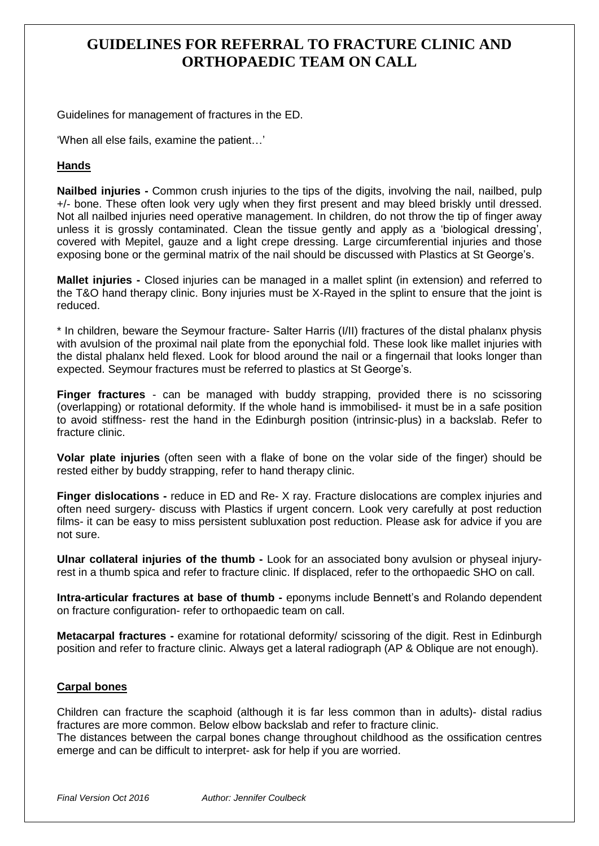Guidelines for management of fractures in the ED.

'When all else fails, examine the patient…'

# **Hands**

**Nailbed injuries -** Common crush injuries to the tips of the digits, involving the nail, nailbed, pulp +/- bone. These often look very ugly when they first present and may bleed briskly until dressed. Not all nailbed injuries need operative management. In children, do not throw the tip of finger away unless it is grossly contaminated. Clean the tissue gently and apply as a 'biological dressing', covered with Mepitel, gauze and a light crepe dressing. Large circumferential injuries and those exposing bone or the germinal matrix of the nail should be discussed with Plastics at St George's.

**Mallet injuries -** Closed injuries can be managed in a mallet splint (in extension) and referred to the T&O hand therapy clinic. Bony injuries must be X-Rayed in the splint to ensure that the joint is reduced.

\* In children, beware the Seymour fracture- Salter Harris (I/II) fractures of the distal phalanx physis with avulsion of the proximal nail plate from the eponychial fold. These look like mallet injuries with the distal phalanx held flexed. Look for blood around the nail or a fingernail that looks longer than expected. Seymour fractures must be referred to plastics at St George's.

**Finger fractures** - can be managed with buddy strapping, provided there is no scissoring (overlapping) or rotational deformity. If the whole hand is immobilised- it must be in a safe position to avoid stiffness- rest the hand in the Edinburgh position (intrinsic-plus) in a backslab. Refer to fracture clinic.

**Volar plate injuries** (often seen with a flake of bone on the volar side of the finger) should be rested either by buddy strapping, refer to hand therapy clinic.

**Finger dislocations -** reduce in ED and Re- X ray. Fracture dislocations are complex injuries and often need surgery- discuss with Plastics if urgent concern. Look very carefully at post reduction films- it can be easy to miss persistent subluxation post reduction. Please ask for advice if you are not sure.

**Ulnar collateral injuries of the thumb -** Look for an associated bony avulsion or physeal injuryrest in a thumb spica and refer to fracture clinic. If displaced, refer to the orthopaedic SHO on call.

**Intra-articular fractures at base of thumb -** eponyms include Bennett's and Rolando dependent on fracture configuration- refer to orthopaedic team on call.

**Metacarpal fractures -** examine for rotational deformity/ scissoring of the digit. Rest in Edinburgh position and refer to fracture clinic. Always get a lateral radiograph (AP & Oblique are not enough).

### **Carpal bones**

Children can fracture the scaphoid (although it is far less common than in adults)- distal radius fractures are more common. Below elbow backslab and refer to fracture clinic.

The distances between the carpal bones change throughout childhood as the ossification centres emerge and can be difficult to interpret- ask for help if you are worried.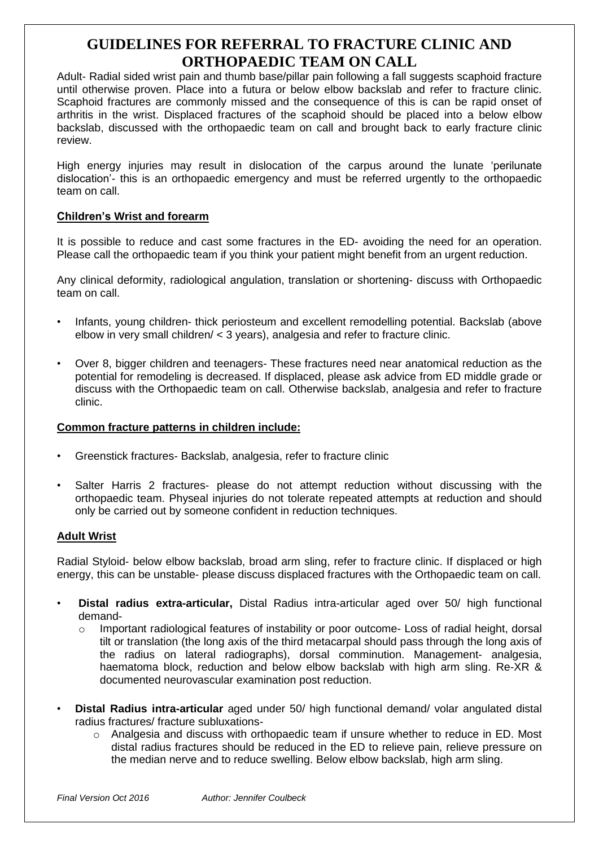Adult- Radial sided wrist pain and thumb base/pillar pain following a fall suggests scaphoid fracture until otherwise proven. Place into a futura or below elbow backslab and refer to fracture clinic. Scaphoid fractures are commonly missed and the consequence of this is can be rapid onset of arthritis in the wrist. Displaced fractures of the scaphoid should be placed into a below elbow backslab, discussed with the orthopaedic team on call and brought back to early fracture clinic review.

High energy injuries may result in dislocation of the carpus around the lunate 'perilunate dislocation'- this is an orthopaedic emergency and must be referred urgently to the orthopaedic team on call.

# **Children's Wrist and forearm**

It is possible to reduce and cast some fractures in the ED- avoiding the need for an operation. Please call the orthopaedic team if you think your patient might benefit from an urgent reduction.

Any clinical deformity, radiological angulation, translation or shortening- discuss with Orthopaedic team on call.

- Infants, young children- thick periosteum and excellent remodelling potential. Backslab (above elbow in very small children/ < 3 years), analgesia and refer to fracture clinic.
- Over 8, bigger children and teenagers- These fractures need near anatomical reduction as the potential for remodeling is decreased. If displaced, please ask advice from ED middle grade or discuss with the Orthopaedic team on call. Otherwise backslab, analgesia and refer to fracture clinic.

# **Common fracture patterns in children include:**

- Greenstick fractures- Backslab, analgesia, refer to fracture clinic
- Salter Harris 2 fractures- please do not attempt reduction without discussing with the orthopaedic team. Physeal injuries do not tolerate repeated attempts at reduction and should only be carried out by someone confident in reduction techniques.

# **Adult Wrist**

Radial Styloid- below elbow backslab, broad arm sling, refer to fracture clinic. If displaced or high energy, this can be unstable- please discuss displaced fractures with the Orthopaedic team on call.

- **Distal radius extra-articular,** Distal Radius intra-articular aged over 50/ high functional demand-
	- $\circ$  Important radiological features of instability or poor outcome- Loss of radial height, dorsal tilt or translation (the long axis of the third metacarpal should pass through the long axis of the radius on lateral radiographs), dorsal comminution. Management- analgesia, haematoma block, reduction and below elbow backslab with high arm sling. Re-XR & documented neurovascular examination post reduction.
- **Distal Radius intra-articular** aged under 50/ high functional demand/ volar angulated distal radius fractures/ fracture subluxations-
	- $\circ$  Analgesia and discuss with orthopaedic team if unsure whether to reduce in ED. Most distal radius fractures should be reduced in the ED to relieve pain, relieve pressure on the median nerve and to reduce swelling. Below elbow backslab, high arm sling.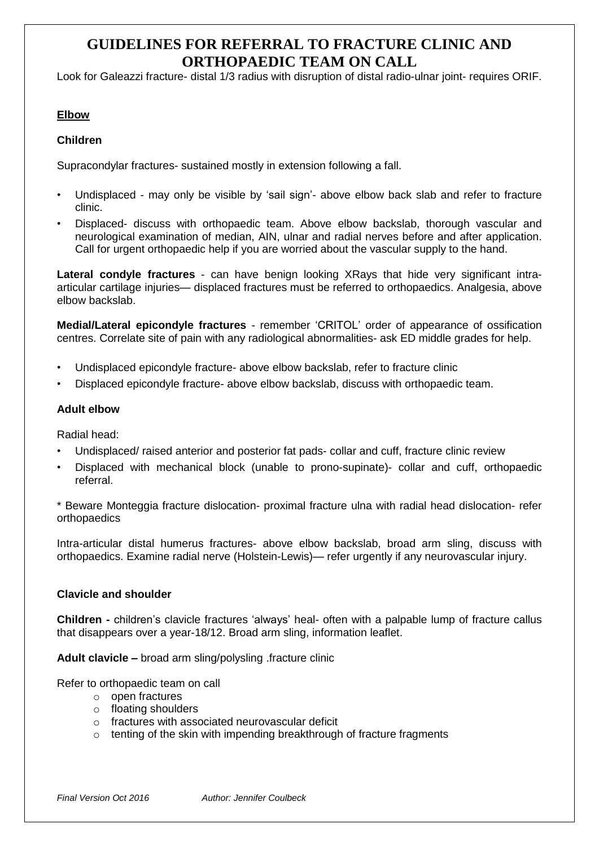Look for Galeazzi fracture- distal 1/3 radius with disruption of distal radio-ulnar joint- requires ORIF.

# **Elbow**

# **Children**

Supracondylar fractures- sustained mostly in extension following a fall.

- Undisplaced may only be visible by 'sail sign'- above elbow back slab and refer to fracture clinic.
- Displaced- discuss with orthopaedic team. Above elbow backslab, thorough vascular and neurological examination of median, AIN, ulnar and radial nerves before and after application. Call for urgent orthopaedic help if you are worried about the vascular supply to the hand.

**Lateral condyle fractures** - can have benign looking XRays that hide very significant intraarticular cartilage injuries— displaced fractures must be referred to orthopaedics. Analgesia, above elbow backslab.

**Medial/Lateral epicondyle fractures** - remember 'CRITOL' order of appearance of ossification centres. Correlate site of pain with any radiological abnormalities- ask ED middle grades for help.

- Undisplaced epicondyle fracture- above elbow backslab, refer to fracture clinic
- Displaced epicondyle fracture- above elbow backslab, discuss with orthopaedic team.

### **Adult elbow**

Radial head:

- Undisplaced/ raised anterior and posterior fat pads- collar and cuff, fracture clinic review
- Displaced with mechanical block (unable to prono-supinate)- collar and cuff, orthopaedic referral.

\* Beware Monteggia fracture dislocation- proximal fracture ulna with radial head dislocation- refer orthopaedics

Intra-articular distal humerus fractures- above elbow backslab, broad arm sling, discuss with orthopaedics. Examine radial nerve (Holstein-Lewis)— refer urgently if any neurovascular injury.

# **Clavicle and shoulder**

**Children -** children's clavicle fractures 'always' heal- often with a palpable lump of fracture callus that disappears over a year-18/12. Broad arm sling, information leaflet.

**Adult clavicle –** broad arm sling/polysling .fracture clinic

Refer to orthopaedic team on call

- o open fractures
- o floating shoulders
- o fractures with associated neurovascular deficit
- o tenting of the skin with impending breakthrough of fracture fragments

*Final Version Oct 2016 Author: Jennifer Coulbeck*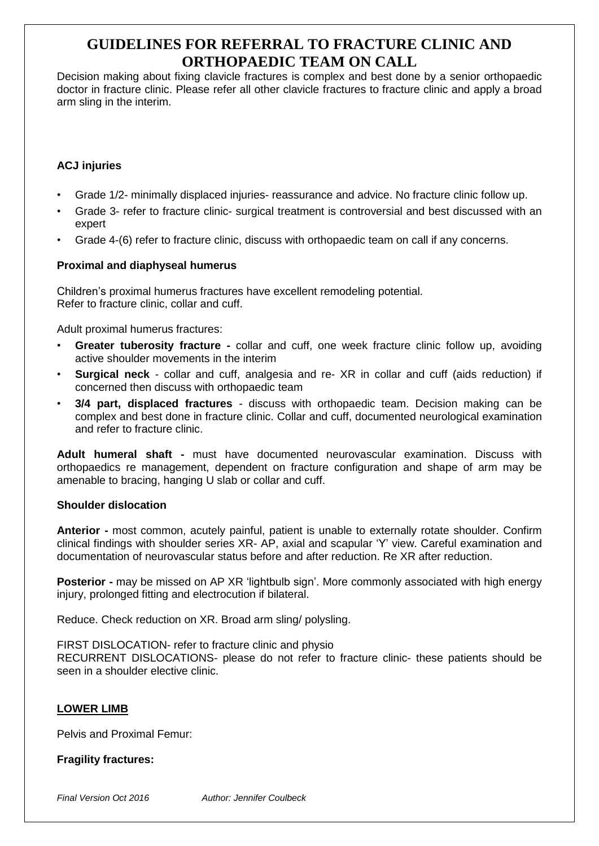Decision making about fixing clavicle fractures is complex and best done by a senior orthopaedic doctor in fracture clinic. Please refer all other clavicle fractures to fracture clinic and apply a broad arm sling in the interim.

# **ACJ injuries**

- Grade 1/2- minimally displaced injuries- reassurance and advice. No fracture clinic follow up.
- Grade 3- refer to fracture clinic- surgical treatment is controversial and best discussed with an expert
- Grade 4-(6) refer to fracture clinic, discuss with orthopaedic team on call if any concerns.

# **Proximal and diaphyseal humerus**

Children's proximal humerus fractures have excellent remodeling potential. Refer to fracture clinic, collar and cuff.

Adult proximal humerus fractures:

- **Greater tuberosity fracture -** collar and cuff, one week fracture clinic follow up, avoiding active shoulder movements in the interim
- **Surgical neck** collar and cuff, analgesia and re- XR in collar and cuff (aids reduction) if concerned then discuss with orthopaedic team
- **3/4 part, displaced fractures** discuss with orthopaedic team. Decision making can be complex and best done in fracture clinic. Collar and cuff, documented neurological examination and refer to fracture clinic.

**Adult humeral shaft -** must have documented neurovascular examination. Discuss with orthopaedics re management, dependent on fracture configuration and shape of arm may be amenable to bracing, hanging U slab or collar and cuff.

#### **Shoulder dislocation**

**Anterior -** most common, acutely painful, patient is unable to externally rotate shoulder. Confirm clinical findings with shoulder series XR- AP, axial and scapular 'Y' view. Careful examination and documentation of neurovascular status before and after reduction. Re XR after reduction.

**Posterior -** may be missed on AP XR 'lightbulb sign'. More commonly associated with high energy injury, prolonged fitting and electrocution if bilateral.

Reduce. Check reduction on XR. Broad arm sling/ polysling.

FIRST DISLOCATION- refer to fracture clinic and physio RECURRENT DISLOCATIONS- please do not refer to fracture clinic- these patients should be seen in a shoulder elective clinic.

# **LOWER LIMB**

Pelvis and Proximal Femur:

# **Fragility fractures:**

*Final Version Oct 2016 Author: Jennifer Coulbeck*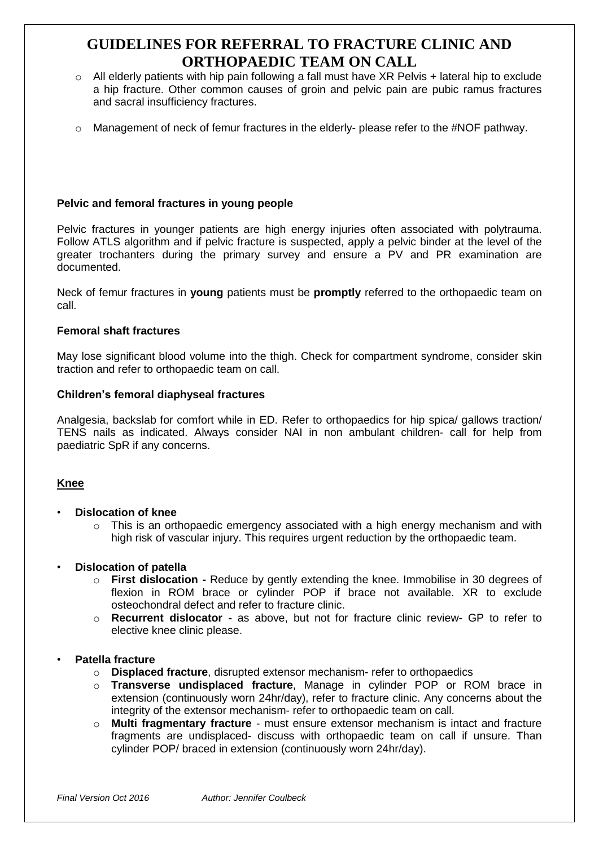- $\circ$  All elderly patients with hip pain following a fall must have XR Pelvis + lateral hip to exclude a hip fracture. Other common causes of groin and pelvic pain are pubic ramus fractures and sacral insufficiency fractures.
- o Management of neck of femur fractures in the elderly- please refer to the #NOF pathway.

# **Pelvic and femoral fractures in young people**

Pelvic fractures in younger patients are high energy injuries often associated with polytrauma. Follow ATLS algorithm and if pelvic fracture is suspected, apply a pelvic binder at the level of the greater trochanters during the primary survey and ensure a PV and PR examination are documented.

Neck of femur fractures in **young** patients must be **promptly** referred to the orthopaedic team on call.

# **Femoral shaft fractures**

May lose significant blood volume into the thigh. Check for compartment syndrome, consider skin traction and refer to orthopaedic team on call.

# **Children's femoral diaphyseal fractures**

Analgesia, backslab for comfort while in ED. Refer to orthopaedics for hip spica/ gallows traction/ TENS nails as indicated. Always consider NAI in non ambulant children- call for help from paediatric SpR if any concerns.

# **Knee**

- **Dislocation of knee**
	- $\circ$  This is an orthopaedic emergency associated with a high energy mechanism and with high risk of vascular injury. This requires urgent reduction by the orthopaedic team.

# • **Dislocation of patella**

- o **First dislocation -** Reduce by gently extending the knee. Immobilise in 30 degrees of flexion in ROM brace or cylinder POP if brace not available. XR to exclude osteochondral defect and refer to fracture clinic.
- o **Recurrent dislocator -** as above, but not for fracture clinic review- GP to refer to elective knee clinic please.

# • **Patella fracture**

- o **Displaced fracture**, disrupted extensor mechanism- refer to orthopaedics
- o **Transverse undisplaced fracture**, Manage in cylinder POP or ROM brace in extension (continuously worn 24hr/day), refer to fracture clinic. Any concerns about the integrity of the extensor mechanism- refer to orthopaedic team on call.
- o **Multi fragmentary fracture** must ensure extensor mechanism is intact and fracture fragments are undisplaced- discuss with orthopaedic team on call if unsure. Than cylinder POP/ braced in extension (continuously worn 24hr/day).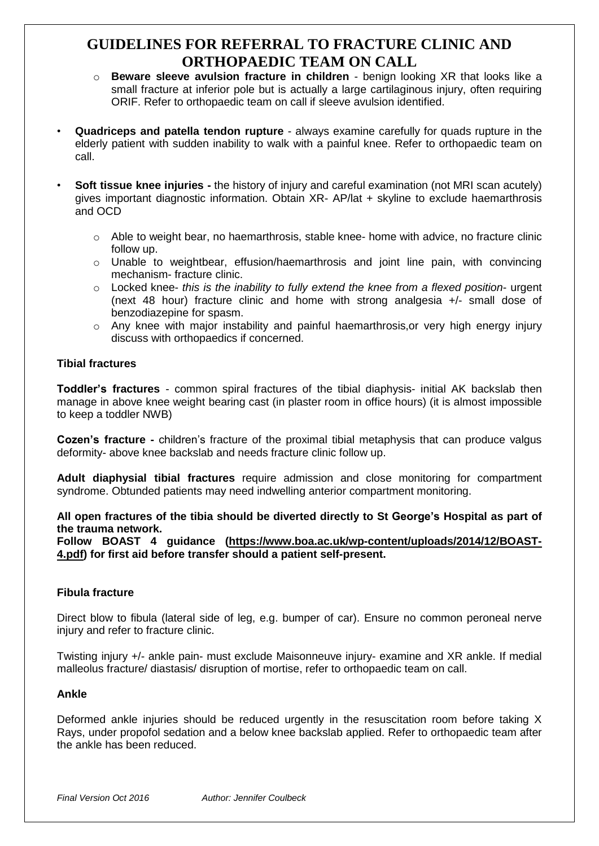- o **Beware sleeve avulsion fracture in children** benign looking XR that looks like a small fracture at inferior pole but is actually a large cartilaginous injury, often requiring ORIF. Refer to orthopaedic team on call if sleeve avulsion identified.
- **Quadriceps and patella tendon rupture** always examine carefully for quads rupture in the elderly patient with sudden inability to walk with a painful knee. Refer to orthopaedic team on call.
- **Soft tissue knee injuries -** the history of injury and careful examination (not MRI scan acutely) gives important diagnostic information. Obtain XR- AP/lat + skyline to exclude haemarthrosis and OCD
	- $\circ$  Able to weight bear, no haemarthrosis, stable knee- home with advice, no fracture clinic follow up.
	- $\circ$  Unable to weightbear, effusion/haemarthrosis and joint line pain, with convincing mechanism- fracture clinic.
	- o Locked knee- *this is the inability to fully extend the knee from a flexed position* urgent (next 48 hour) fracture clinic and home with strong analgesia +/- small dose of benzodiazepine for spasm.
	- o Any knee with major instability and painful haemarthrosis,or very high energy injury discuss with orthopaedics if concerned.

# **Tibial fractures**

**Toddler's fractures** - common spiral fractures of the tibial diaphysis- initial AK backslab then manage in above knee weight bearing cast (in plaster room in office hours) (it is almost impossible to keep a toddler NWB)

**Cozen's fracture -** children's fracture of the proximal tibial metaphysis that can produce valgus deformity- above knee backslab and needs fracture clinic follow up.

**Adult diaphysial tibial fractures** require admission and close monitoring for compartment syndrome. Obtunded patients may need indwelling anterior compartment monitoring.

**All open fractures of the tibia should be diverted directly to St George's Hospital as part of the trauma network.**

**Follow BOAST 4 guidance [\(https://www.boa.ac.uk/wp-content/uploads/2014/12/BOAST-](https://www.boa.ac.uk/wp-content/uploads/2014/12/BOAST-4.pdf)[4.pdf\)](https://www.boa.ac.uk/wp-content/uploads/2014/12/BOAST-4.pdf) for first aid before transfer should a patient self-present.**

# **Fibula fracture**

Direct blow to fibula (lateral side of leg, e.g. bumper of car). Ensure no common peroneal nerve injury and refer to fracture clinic.

Twisting injury +/- ankle pain- must exclude Maisonneuve injury- examine and XR ankle. If medial malleolus fracture/ diastasis/ disruption of mortise, refer to orthopaedic team on call.

#### **Ankle**

Deformed ankle injuries should be reduced urgently in the resuscitation room before taking X Rays, under propofol sedation and a below knee backslab applied. Refer to orthopaedic team after the ankle has been reduced.

*Final Version Oct 2016 Author: Jennifer Coulbeck*